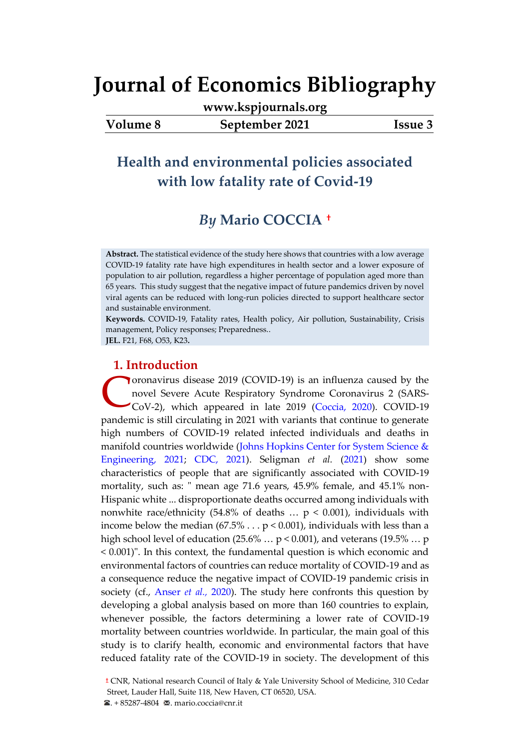**[www.kspjournals.org](file:///G:/26%20Haziran%202021%20Yedek/Akademik/KSP%20Journals/5-%20JEB/82/www.kspjournals.org)**

**Volume 8 September 2021 Issue 3**

## **Health and environmental policies associated with low fatality rate of Covid-19**

## *By* **Mario COCCIA[a](#page-0-0)†**

**Abstract.** The statistical evidence of the study here shows that countries with a low average COVID-19 fatality rate have high expenditures in health sector and a lower exposure of population to air pollution, regardless a higher percentage of population aged more than 65 years. This study suggest that the negative impact of future pandemics driven by novel viral agents can be reduced with long-run policies directed to support healthcare sector and sustainable environment.

**Keywords.** COVID-19, Fatality rates, Health policy, Air pollution, Sustainability, Crisis management, Policy responses; Preparedness.. **JEL.** F21, F68, O53, K23**.**

## **1. Introduction**

oronavirus disease 2019 (COVID-19) is an influenza caused by the novel Severe Acute Respiratory Syndrome Coronavirus 2 (SARS-CoV-2), which appeared in late 2019 [\(Coccia, 2020\)](#page-15-0). COVID-19 pandemic is still circulating in 2021 with variants that continue to generate high numbers of COVID-19 related infected individuals and deaths in manifold countries worldwide (Johns Hopkins Center for System Science & [Engineering, 2021;](#page-15-0) [CDC, 2021\)](#page-15-0). Seligman *et al.* [\(2021\)](#page-15-0) show some characteristics of people that are significantly associated with COVID-19 mortality, such as: " mean age 71.6 years, 45.9% female, and 45.1% non-Hispanic white ... disproportionate deaths occurred among individuals with nonwhite race/ethnicity (54.8% of deaths  $\ldots$  p < 0.001), individuals with income below the median  $(67.5\% \dots p < 0.001)$ , individuals with less than a high school level of education (25.6%  $\ldots$  p < 0.001), and veterans (19.5%  $\ldots$  p < 0.001)". In this context, the fundamental question is which economic and environmental factors of countries can reduce mortality of COVID-19 and as a consequence reduce the negative impact of COVID-19 pandemic crisis in society (cf., [Anser](#page-15-0) *et al.,* 2020). The study here confronts this question by developing a global analysis based on more than 160 countries to explain, whenever possible, the factors determining a lower rate of COVID-19 mortality between countries worldwide. In particular, the main goal of this study is to clarify health, economic and environmental factors that have reduced fatality rate of the COVID-19 in society. The development of this C

<span id="page-0-0"></span><sup>a</sup>**a[†](file:///C:/Users/Bilal/Desktop/Akademik/KSP%20Journals/6-%20JSAS/54/A3%20Mario%20Coccia.docx%23YAZAR)** CNR, National research Council of Italy & Yale University School of Medicine, 310 Cedar Street, Lauder Hall, Suite 118, New Haven, CT 06520, USA.

 $\bullet$ . + 85287-4804  $\bullet$ . mario.coccia@cnr.it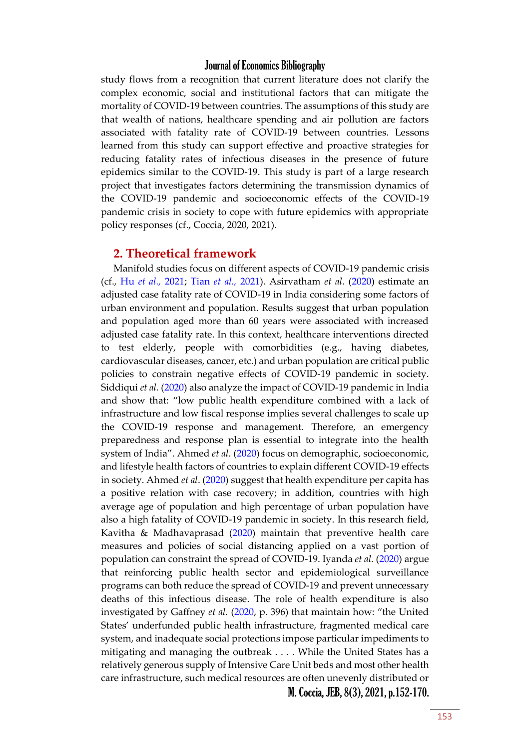study flows from a recognition that current literature does not clarify the complex economic, social and institutional factors that can mitigate the mortality of COVID-19 between countries. The assumptions of this study are that wealth of nations, healthcare spending and air pollution are factors associated with fatality rate of COVID-19 between countries. Lessons learned from this study can support effective and proactive strategies for reducing fatality rates of infectious diseases in the presence of future epidemics similar to the COVID-19. This study is part of a large research project that investigates factors determining the transmission dynamics of the COVID-19 pandemic and socioeconomic effects of the COVID-19 pandemic crisis in society to cope with future epidemics with appropriate policy responses (cf., Coccia, 2020, 2021).

#### **2. Theoretical framework**

M. Coccia, JEB, 8(3), 2021, p.152-170. Manifold studies focus on different aspects of COVID-19 pandemic crisis (cf., Hu *[et al.,](#page-15-0)* 2021; [Tian](#page-15-0) *et al.,* 2021). Asirvatham *et al.* [\(2020\)](#page-15-0) estimate an adjusted case fatality rate of COVID-19 in India considering some factors of urban environment and population. Results suggest that urban population and population aged more than 60 years were associated with increased adjusted case fatality rate. In this context, healthcare interventions directed to test elderly, people with comorbidities (e.g., having diabetes, cardiovascular diseases, cancer, etc.) and urban population are critical public policies to constrain negative effects of COVID-19 pandemic in society. Siddiqui *et al.* [\(2020\)](#page-15-0) also analyze the impact of COVID-19 pandemic in India and show that: "low public health expenditure combined with a lack of infrastructure and low fiscal response implies several challenges to scale up the COVID-19 response and management. Therefore, an emergency preparedness and response plan is essential to integrate into the health system of India". Ahmed *et al.* [\(2020\)](#page-15-0) focus on demographic, socioeconomic, and lifestyle health factors of countries to explain different COVID-19 effects in society. Ahmed *et al*. [\(2020\)](#page-15-0) suggest that health expenditure per capita has a positive relation with case recovery; in addition, countries with high average age of population and high percentage of urban population have also a high fatality of COVID-19 pandemic in society. In this research field, Kavitha & Madhavaprasad [\(2020\)](#page-15-0) maintain that preventive health care measures and policies of social distancing applied on a vast portion of population can constraint the spread of COVID-19. Iyanda *et al.* [\(2020\)](#page-15-0) argue that reinforcing public health sector and epidemiological surveillance programs can both reduce the spread of COVID-19 and prevent unnecessary deaths of this infectious disease. The role of health expenditure is also investigated by Gaffney *et al.* [\(2020](#page-15-0), p. 396) that maintain how: "the United States' underfunded public health infrastructure, fragmented medical care system, and inadequate social protections impose particular impediments to mitigating and managing the outbreak . . . . While the United States has a relatively generous supply of Intensive Care Unit beds and most other health care infrastructure, such medical resources are often unevenly distributed or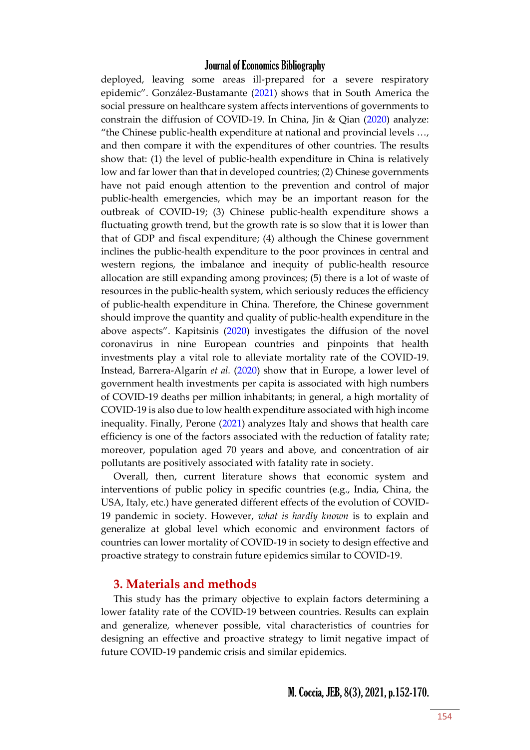deployed, leaving some areas ill-prepared for a severe respiratory epidemic". González-Bustamante [\(2021\)](#page-15-0) shows that in South America the social pressure on healthcare system affects interventions of governments to constrain the diffusion of COVID-19. In China, Jin & Qian [\(2020\)](#page-15-0) analyze: "the Chinese public-health expenditure at national and provincial levels …, and then compare it with the expenditures of other countries. The results show that: (1) the level of public-health expenditure in China is relatively low and far lower than that in developed countries; (2) Chinese governments have not paid enough attention to the prevention and control of major public-health emergencies, which may be an important reason for the outbreak of COVID-19; (3) Chinese public-health expenditure shows a fluctuating growth trend, but the growth rate is so slow that it is lower than that of GDP and fiscal expenditure; (4) although the Chinese government inclines the public-health expenditure to the poor provinces in central and western regions, the imbalance and inequity of public-health resource allocation are still expanding among provinces; (5) there is a lot of waste of resources in the public-health system, which seriously reduces the efficiency of public-health expenditure in China. Therefore, the Chinese government should improve the quantity and quality of public-health expenditure in the above aspects". Kapitsinis [\(2020\)](#page-15-0) investigates the diffusion of the novel coronavirus in nine European countries and pinpoints that health investments play a vital role to alleviate mortality rate of the COVID-19. Instead, Barrera-Algarín *et al.* [\(2020\)](#page-15-0) show that in Europe, a lower level of government health investments per capita is associated with high numbers of COVID-19 deaths per million inhabitants; in general, a high mortality of COVID-19 is also due to low health expenditure associated with high income inequality. Finally, Perone [\(2021\)](#page-15-0) analyzes Italy and shows that health care efficiency is one of the factors associated with the reduction of fatality rate; moreover, population aged 70 years and above, and concentration of air pollutants are positively associated with fatality rate in society.

Overall, then, current literature shows that economic system and interventions of public policy in specific countries (e.g., India, China, the USA, Italy, etc.) have generated different effects of the evolution of COVID-19 pandemic in society. However, *what is hardly known* is to explain and generalize at global level which economic and environment factors of countries can lower mortality of COVID-19 in society to design effective and proactive strategy to constrain future epidemics similar to COVID-19.

### **3. Materials and methods**

This study has the primary objective to explain factors determining a lower fatality rate of the COVID-19 between countries. Results can explain and generalize, whenever possible, vital characteristics of countries for designing an effective and proactive strategy to limit negative impact of future COVID-19 pandemic crisis and similar epidemics.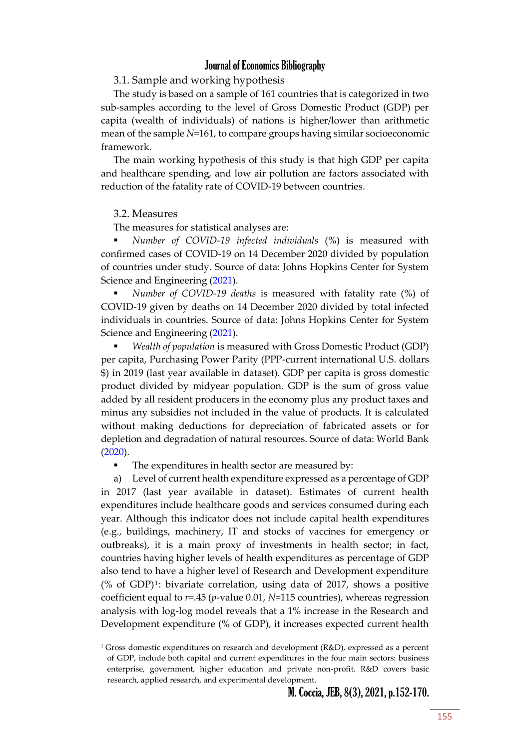#### 3.1. Sample and working hypothesis

The study is based on a sample of 161 countries that is categorized in two sub-samples according to the level of Gross Domestic Product (GDP) per capita (wealth of individuals) of nations is higher/lower than arithmetic mean of the sample *N*=161, to compare groups having similar socioeconomic framework.

The main working hypothesis of this study is that high GDP per capita and healthcare spending, and low air pollution are factors associated with reduction of the fatality rate of COVID-19 between countries.

#### 3.2. Measures

The measures for statistical analyses are:

 *Number of COVID-19 infected individuals* (%) is measured with confirmed cases of COVID-19 on 14 December 2020 divided by population of countries under study. Source of data: Johns Hopkins Center for System Science and Engineering [\(2021\)](#page-15-0).

 *Number of COVID-19 deaths* is measured with fatality rate (%) of COVID-19 given by deaths on 14 December 2020 divided by total infected individuals in countries. Source of data: Johns Hopkins Center for System Science and Engineering [\(2021\)](#page-15-0).

 *Wealth of population* is measured with Gross Domestic Product (GDP) per capita, Purchasing Power Parity (PPP-current international U.S. dollars \$) in 2019 (last year available in dataset). GDP per capita is gross domestic product divided by midyear population. GDP is the sum of gross value added by all resident producers in the economy plus any product taxes and minus any subsidies not included in the value of products. It is calculated without making deductions for depreciation of fabricated assets or for depletion and degradation of natural resources. Source of data: World Bank [\(2020\)](#page-15-0).

The expenditures in health sector are measured by:

a) Level of current health expenditure expressed as a percentage of GDP in 2017 (last year available in dataset). Estimates of current health expenditures include healthcare goods and services consumed during each year. Although this indicator does not include capital health expenditures (e.g., buildings, machinery, IT and stocks of vaccines for emergency or outbreaks), it is a main proxy of investments in health sector; in fact, countries having higher levels of health expenditures as percentage of GDP also tend to have a higher level of Research and Development expenditure  $(\%$  of GDP)<sup>1</sup>: bivariate correlation, using data of 2017, shows a positive coefficient equal to *r*=.45 (*p*-value 0.01, *N*=115 countries), whereas regression analysis with log-log model reveals that a 1% increase in the Research and Development expenditure (% of GDP), it increases expected current health

<sup>&</sup>lt;sup>1</sup> Gross domestic expenditures on research and development ( $R&D$ ), expressed as a percent of GDP, include both capital and current expenditures in the four main sectors: business enterprise, government, higher education and private non-profit. R&D covers basic research, applied research, and experimental development.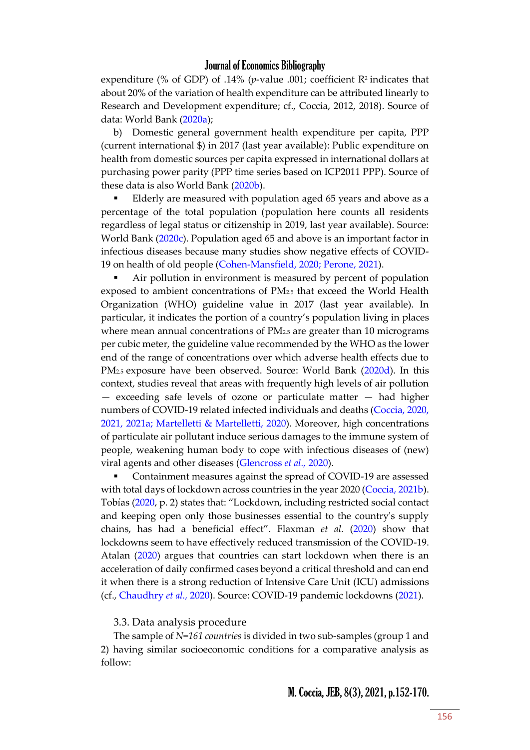expenditure (% of GDP) of .14% ( $p$ -value .001; coefficient R<sup>2</sup> indicates that about 20% of the variation of health expenditure can be attributed linearly to Research and Development expenditure; cf., Coccia, 2012, 2018). Source of data: World Bank [\(2020a\)](#page-15-0);

b) Domestic general government health expenditure per capita, PPP (current international \$) in 2017 (last year available): Public expenditure on health from domestic sources per capita expressed in international dollars at purchasing power parity (PPP time series based on ICP2011 PPP). Source of these data is also World Bank [\(2020b\)](#page-15-0).

 Elderly are measured with population aged 65 years and above as a percentage of the total population (population here counts all residents regardless of legal status or citizenship in 2019, last year available). Source: World Bank [\(2020c\)](#page-15-0). Population aged 65 and above is an important factor in infectious diseases because many studies show negative effects of COVID-19 on health of old people [\(Cohen-Mansfield, 2020; Perone, 2021\)](#page-15-0).

 Air pollution in environment is measured by percent of population exposed to ambient concentrations of PM2.5 that exceed the World Health Organization (WHO) guideline value in 2017 (last year available). In particular, it indicates the portion of a country's population living in places where mean annual concentrations of  $PM<sub>2.5</sub>$  are greater than 10 micrograms per cubic meter, the guideline value recommended by the WHO as the lower end of the range of concentrations over which adverse health effects due to PM<sub>2.5</sub> exposure have been observed. Source: World Bank [\(2020d\)](#page-15-0). In this context, studies reveal that areas with frequently high levels of air pollution — exceeding safe levels of ozone or particulate matter — had higher numbers of COVID-19 related infected individuals and deaths [\(Coccia, 2020,](#page-15-0)  [2021, 2021a; Martelletti &](#page-15-0) Martelletti, 2020). Moreover, high concentrations of particulate air pollutant induce serious damages to the immune system of people, weakening human body to cope with infectious diseases of (new) viral agents and other diseases [\(Glencross](#page-15-0) *et al.,* 2020).

 Containment measures against the spread of COVID-19 are assessed with total days of lockdown across countries in the year 2020 [\(Coccia, 2021b\)](#page-15-0). Tobías ([2020](#page-15-0), p. 2) states that: "Lockdown, including restricted social contact and keeping open only those businesses essential to the country's supply chains, has had a beneficial effect". Flaxman *et al.* [\(2020\)](#page-15-0) show that lockdowns seem to have effectively reduced transmission of the COVID-19. Atalan [\(2020\)](#page-15-0) argues that countries can start lockdown when there is an acceleration of daily confirmed cases beyond a critical threshold and can end it when there is a strong reduction of Intensive Care Unit (ICU) admissions (cf., [Chaudhry](#page-15-0) *et al.,* 2020). Source: COVID-19 pandemic lockdowns [\(2021\)](#page-15-0).

3.3. Data analysis procedure

The sample of *N=161 countries* is divided in two sub-samples (group 1 and 2) having similar socioeconomic conditions for a comparative analysis as follow: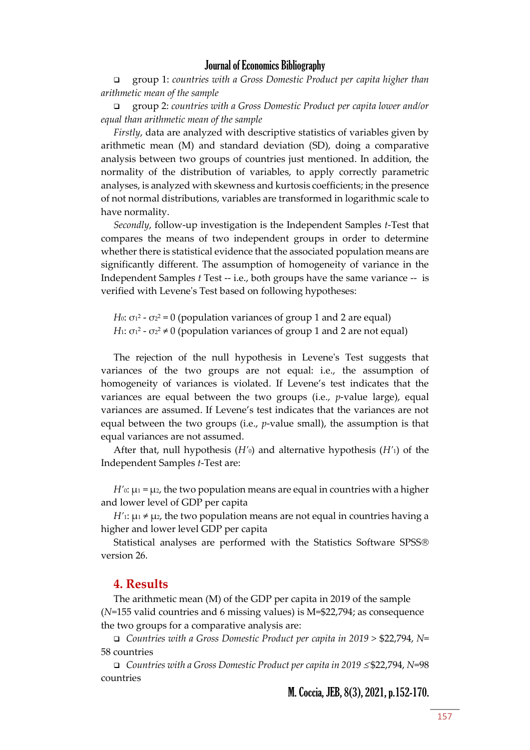group 1: *countries with a Gross Domestic Product per capita higher than arithmetic mean of the sample*

 group 2: *countries with a Gross Domestic Product per capita lower and/or equal than arithmetic mean of the sample*

*Firstly*, data are analyzed with descriptive statistics of variables given by arithmetic mean (M) and standard deviation (SD), doing a comparative analysis between two groups of countries just mentioned. In addition, the normality of the distribution of variables, to apply correctly parametric analyses, is analyzed with skewness and kurtosis coefficients; in the presence of not normal distributions, variables are transformed in logarithmic scale to have normality.

*Secondly*, follow-up investigation is the Independent Samples *t*-Test that compares the means of two independent groups in order to determine whether there is statistical evidence that the associated population means are significantly different. The assumption of homogeneity of variance in the Independent Samples *t* Test -- i.e., both groups have the same variance -- is verified with Levene's Test based on following hypotheses:

 $H$ 0: σ1<sup>2</sup> - σ2<sup>2</sup> = 0 (population variances of group 1 and 2 are equal) *H*1: σ1<sup>2</sup> - σ2<sup>2</sup> ≠ 0 (population variances of group 1 and 2 are not equal)

The rejection of the null hypothesis in Levene's Test suggests that variances of the two groups are not equal: i.e., the assumption of homogeneity of variances is violated. If Levene's test indicates that the variances are equal between the two groups (i.e., *p*-value large), equal variances are assumed. If Levene's test indicates that the variances are not equal between the two groups (i.e., *p*-value small), the assumption is that equal variances are not assumed.

After that, null hypothesis (*H'*0) and alternative hypothesis (*H'*1) of the Independent Samples *t*-Test are:

*H*' $\alpha$ :  $\mu_1$  =  $\mu_2$ , the two population means are equal in countries with a higher and lower level of GDP per capita

*H'*<sub>1</sub>:  $\mu_1 \neq \mu_2$ , the two population means are not equal in countries having a higher and lower level GDP per capita

Statistical analyses are performed with the Statistics Software SPSS version 26.

#### **4. Results**

The arithmetic mean (M) of the GDP per capita in 2019 of the sample (*N*=155 valid countries and 6 missing values) is M=\$22,794; as consequence the two groups for a comparative analysis are:

 *Countries with a Gross Domestic Product per capita in 2019 >* \$22,794, *N*= 58 countries

*Countries with a Gross Domestic Product per capita in 2019 ≤\$22,794, N=98* countries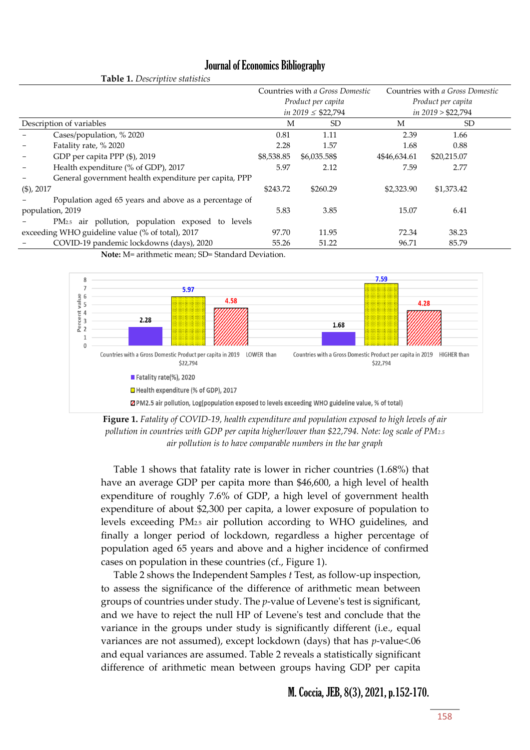|                                                  | $\sim$ 20 $\sim$ $\sim$ 0.000 $\mu$ . The contraction of      |            |                                 |                                 |             |  |
|--------------------------------------------------|---------------------------------------------------------------|------------|---------------------------------|---------------------------------|-------------|--|
|                                                  |                                                               |            | Countries with a Gross Domestic | Countries with a Gross Domestic |             |  |
|                                                  |                                                               |            | Product per capita              | Product per capita              |             |  |
|                                                  |                                                               |            | in $2019 \leq $22,794$          | $in$ 2019 > \$22,794            |             |  |
| Description of variables                         |                                                               | М          | SD.                             | M                               | SD          |  |
|                                                  | Cases/population, % 2020                                      | 0.81       | 1.11                            | 2.39                            | 1.66        |  |
|                                                  | Fatality rate, % 2020                                         | 2.28       | 1.57                            | 1.68                            | 0.88        |  |
|                                                  | GDP per capita PPP (\$), 2019                                 | \$8,538.85 | \$6,035.58\$                    | 4\$46,634.61                    | \$20,215.07 |  |
|                                                  | Health expenditure (% of GDP), 2017                           | 5.97       | 2.12                            | 7.59                            | 2.77        |  |
|                                                  | General government health expenditure per capita, PPP         |            |                                 |                                 |             |  |
| $(\$)$ , 2017                                    |                                                               | \$243.72   | \$260.29                        | \$2,323.90                      | \$1,373.42  |  |
|                                                  | Population aged 65 years and above as a percentage of         |            |                                 |                                 |             |  |
| population, 2019                                 |                                                               | 5.83       | 3.85                            | 15.07                           | 6.41        |  |
|                                                  | PM <sub>2.5</sub> air pollution, population exposed to levels |            |                                 |                                 |             |  |
| exceeding WHO guideline value (% of total), 2017 |                                                               | 97.70      | 11.95                           | 72.34                           | 38.23       |  |
|                                                  | COVID-19 pandemic lockdowns (days), 2020                      | 55.26      | 51.22                           | 96.71                           | 85.79       |  |

**Note:** M= arithmetic mean; SD= Standard Deviation.

**Table 1.** *Descriptive statistics*





Table 1 shows that fatality rate is lower in richer countries (1.68%) that have an average GDP per capita more than \$46,600, a high level of health expenditure of roughly 7.6% of GDP, a high level of government health expenditure of about \$2,300 per capita, a lower exposure of population to levels exceeding PM2.5 air pollution according to WHO guidelines, and finally a longer period of lockdown, regardless a higher percentage of population aged 65 years and above and a higher incidence of confirmed cases on population in these countries (cf., Figure 1).

Table 2 shows the Independent Samples *t* Test, as follow-up inspection, to assess the significance of the difference of arithmetic mean between groups of countries under study. The *p*-value of Levene's test is significant, and we have to reject the null HP of Levene's test and conclude that the variance in the groups under study is significantly different (i.e., equal variances are not assumed), except lockdown (days) that has *p*-value<.06 and equal variances are assumed. Table 2 reveals a statistically significant difference of arithmetic mean between groups having GDP per capita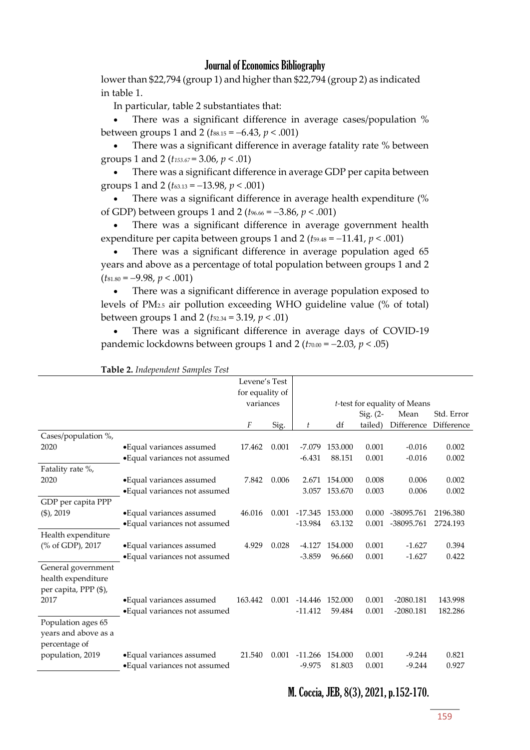lower than \$22,794 (group 1) and higher than \$22,794 (group 2) as indicated in table 1.

In particular, table 2 substantiates that:

 There was a significant difference in average cases/population % between groups 1 and 2 ( $t_{88.15} = -6.43$ ,  $p < .001$ )

 There was a significant difference in average fatality rate % between groups 1 and 2 (*t153.67* = 3.06, *p* < .01)

 There was a significant difference in average GDP per capita between groups 1 and 2 (*t*63.13 = 13.98, *p* < .001)

 There was a significant difference in average health expenditure (% of GDP) between groups 1 and 2 ( $t_{96.66} = -3.86$ ,  $p < .001$ )

 There was a significant difference in average government health expenditure per capita between groups 1 and 2 ( $t_{59.48} = -11.41$ ,  $p < .001$ )

• There was a significant difference in average population aged 65 years and above as a percentage of total population between groups 1 and 2  $(t_{81.80} = -9.98, p < .001)$ 

 There was a significant difference in average population exposed to levels of PM2.5 air pollution exceeding WHO guideline value (% of total) between groups 1 and 2 (*t*52.34 = 3.19, *p* < .01)

 There was a significant difference in average days of COVID-19 pandemic lockdowns between groups 1 and 2 ( $t_{70.00}$  = -2.03,  $p < .05$ )

|                       |                               | Levene's Test   |       |                              |         |            |             |            |
|-----------------------|-------------------------------|-----------------|-------|------------------------------|---------|------------|-------------|------------|
|                       |                               | for equality of |       |                              |         |            |             |            |
|                       |                               | variances       |       | t-test for equality of Means |         |            |             |            |
|                       |                               |                 |       |                              |         | Sig. $(2-$ | Mean        | Std. Error |
|                       |                               | F               | Sig.  | t                            | df      | tailed)    | Difference  | Difference |
| Cases/population %,   |                               |                 |       |                              |         |            |             |            |
| 2020                  | • Equal variances assumed     | 17.462          | 0.001 | $-7.079$                     | 153.000 | 0.001      | $-0.016$    | 0.002      |
|                       | • Equal variances not assumed |                 |       | $-6.431$                     | 88.151  | 0.001      | $-0.016$    | 0.002      |
| Fatality rate %,      |                               |                 |       |                              |         |            |             |            |
| 2020                  | • Equal variances assumed     | 7.842           | 0.006 | 2.671                        | 154.000 | 0.008      | 0.006       | 0.002      |
|                       | • Equal variances not assumed |                 |       | 3.057                        | 153.670 | 0.003      | 0.006       | 0.002      |
| GDP per capita PPP    |                               |                 |       |                              |         |            |             |            |
| $(\$)$ , 2019         | • Equal variances assumed     | 46.016          | 0.001 | $-17.345$                    | 153.000 | 0.000      | -38095.761  | 2196.380   |
|                       | • Equal variances not assumed |                 |       | $-13.984$                    | 63.132  | 0.001      | -38095.761  | 2724.193   |
| Health expenditure    |                               |                 |       |                              |         |            |             |            |
| (% of GDP), 2017      | • Equal variances assumed     | 4.929           | 0.028 | $-4.127$                     | 154.000 | 0.001      | $-1.627$    | 0.394      |
|                       | • Equal variances not assumed |                 |       | $-3.859$                     | 96.660  | 0.001      | $-1.627$    | 0.422      |
| General government    |                               |                 |       |                              |         |            |             |            |
| health expenditure    |                               |                 |       |                              |         |            |             |            |
| per capita, PPP (\$), |                               |                 |       |                              |         |            |             |            |
| 2017                  | • Equal variances assumed     | 163.442         | 0.001 | -14.446                      | 152.000 | 0.001      | $-2080.181$ | 143.998    |
|                       | • Equal variances not assumed |                 |       | $-11.412$                    | 59.484  | 0.001      | $-2080.181$ | 182.286    |
| Population ages 65    |                               |                 |       |                              |         |            |             |            |
| years and above as a  |                               |                 |       |                              |         |            |             |            |
| percentage of         |                               |                 |       |                              |         |            |             |            |
| population, 2019      | • Equal variances assumed     | 21.540          | 0.001 | $-11.266$                    | 154.000 | 0.001      | $-9.244$    | 0.821      |
|                       | · Equal variances not assumed |                 |       | $-9.975$                     | 81.803  | 0.001      | $-9.244$    | 0.927      |
|                       |                               |                 |       |                              |         |            |             |            |

#### **Table 2.** *Independent Samples Test*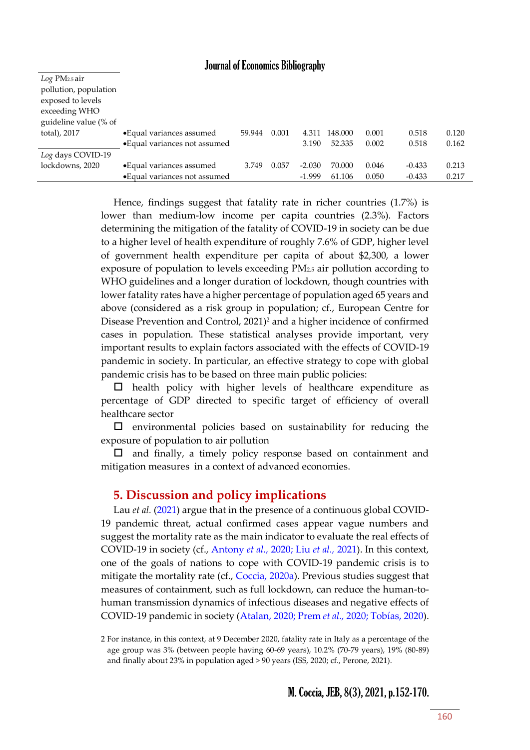| $Log PM_{2.5}$ air<br>pollution, population<br>exposed to levels<br>exceeding WHO<br>guideline value (% of |                               |        |       |          |         |       |          |       |
|------------------------------------------------------------------------------------------------------------|-------------------------------|--------|-------|----------|---------|-------|----------|-------|
| total), 2017                                                                                               | • Equal variances assumed     | 59.944 | 0.001 | 4.311    | 148.000 | 0.001 | 0.518    | 0.120 |
|                                                                                                            | • Equal variances not assumed |        |       | 3.190    | 52.335  | 0.002 | 0.518    | 0.162 |
| Log days COVID-19                                                                                          |                               |        |       |          |         |       |          |       |
| lockdowns, 2020                                                                                            | • Equal variances assumed     | 3.749  | 0.057 | $-2.030$ | 70.000  | 0.046 | $-0.433$ | 0.213 |
|                                                                                                            | • Equal variances not assumed |        |       | $-1.999$ | 61.106  | 0.050 | $-0.433$ | 0.217 |

Hence, findings suggest that fatality rate in richer countries (1.7%) is lower than medium-low income per capita countries (2.3%). Factors determining the mitigation of the fatality of COVID-19 in society can be due to a higher level of health expenditure of roughly 7.6% of GDP, higher level of government health expenditure per capita of about \$2,300, a lower exposure of population to levels exceeding PM2.5 air pollution according to WHO guidelines and a longer duration of lockdown, though countries with lower fatality rates have a higher percentage of population aged 65 years and above (considered as a risk group in population; cf., European Centre for Disease Prevention and Control, 2021)<sup>2</sup> and a higher incidence of confirmed cases in population. These statistical analyses provide important, very important results to explain factors associated with the effects of COVID-19 pandemic in society. In particular, an effective strategy to cope with global pandemic crisis has to be based on three main public policies:

 $\Box$  health policy with higher levels of healthcare expenditure as percentage of GDP directed to specific target of efficiency of overall healthcare sector

 $\square$  environmental policies based on sustainability for reducing the exposure of population to air pollution

 $\Box$  and finally, a timely policy response based on containment and mitigation measures in a context of advanced economies.

### **5. Discussion and policy implications**

Lau *et al.* [\(2021\)](#page-15-0) argue that in the presence of a continuous global COVID-19 pandemic threat, actual confirmed cases appear vague numbers and suggest the mortality rate as the main indicator to evaluate the real effects of COVID-19 in society (cf., Antony *et al.,* [2020; Liu](#page-15-0) *et al.,* 2021). In this context, one of the goals of nations to cope with COVID-19 pandemic crisis is to mitigate the mortality rate (cf., [Coccia, 2020a\)](#page-15-0). Previous studies suggest that measures of containment, such as full lockdown, can reduce the human-tohuman transmission dynamics of infectious diseases and negative effects of COVID-19 pandemic in society [\(Atalan, 2020; Prem](#page-15-0) *et al.,* 2020; Tobías, 2020).

<sup>2</sup> For instance, in this context, at 9 December 2020, fatality rate in Italy as a percentage of the age group was 3% (between people having 60-69 years), 10.2% (70-79 years), 19% (80-89) and finally about 23% in population aged > 90 years (ISS, 2020; cf., Perone, 2021).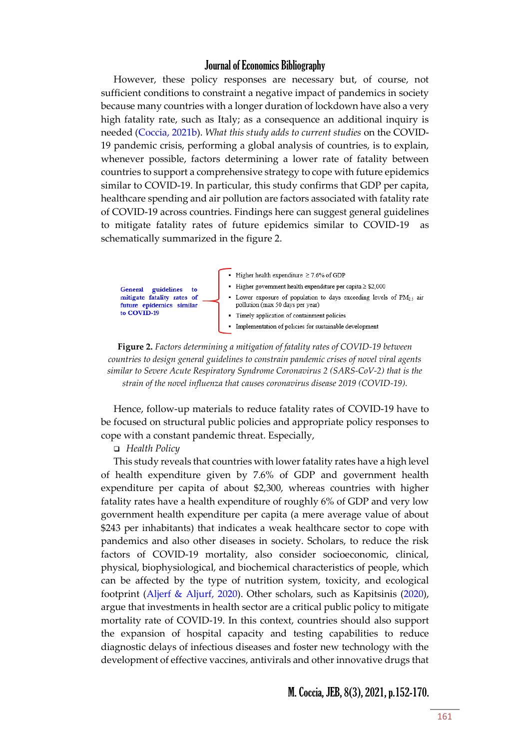However, these policy responses are necessary but, of course, not sufficient conditions to constraint a negative impact of pandemics in society because many countries with a longer duration of lockdown have also a very high fatality rate, such as Italy; as a consequence an additional inquiry is needed [\(Coccia, 2021b\)](#page-15-0). *What this study adds to current studies* on the COVID-19 pandemic crisis, performing a global analysis of countries, is to explain, whenever possible, factors determining a lower rate of fatality between countries to support a comprehensive strategy to cope with future epidemics similar to COVID-19. In particular, this study confirms that GDP per capita, healthcare spending and air pollution are factors associated with fatality rate of COVID-19 across countries. Findings here can suggest general guidelines to mitigate fatality rates of future epidemics similar to COVID-19 as schematically summarized in the figure 2.



**Figure 2.** *Factors determining a mitigation of fatality rates of COVID-19 between countries to design general guidelines to constrain pandemic crises of novel viral agents similar to Severe Acute Respiratory Syndrome Coronavirus 2 (SARS-CoV-2) that is the strain of the novel influenza that causes coronavirus disease 2019 (COVID-19).*

Hence, follow-up materials to reduce fatality rates of COVID-19 have to be focused on structural public policies and appropriate policy responses to cope with a constant pandemic threat. Especially,

*Health Policy* 

This study reveals that countries with lower fatality rates have a high level of health expenditure given by 7.6% of GDP and government health expenditure per capita of about \$2,300, whereas countries with higher fatality rates have a health expenditure of roughly 6% of GDP and very low government health expenditure per capita (a mere average value of about \$243 per inhabitants) that indicates a weak healthcare sector to cope with pandemics and also other diseases in society. Scholars, to reduce the risk factors of COVID-19 mortality, also consider socioeconomic, clinical, physical, biophysiological, and biochemical characteristics of people, which can be affected by the type of nutrition system, toxicity, and ecological footprint (Aljerf & [Aljurf, 2020\)](#page-15-0). Other scholars, such as [Kapitsinis \(2020\)](https://www.scopus.com/authid/detail.uri?origin=resultslist&authorId=55893246200&zone=), argue that investments in health sector are a critical public policy to mitigate mortality rate of COVID-19. In this context, countries should also support the expansion of hospital capacity and testing capabilities to reduce diagnostic delays of infectious diseases and foster new technology with the development of effective vaccines, antivirals and other innovative drugs that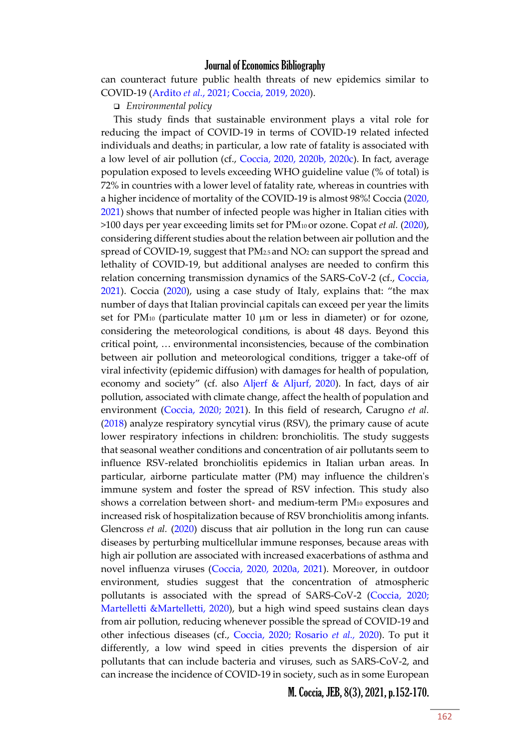can counteract future public health threats of new epidemics similar to COVID-19 (Ardito *et al.*[, 2021; Coccia, 2019, 2020\)](#page-15-0).

*Environmental policy* 

This study finds that sustainable environment plays a vital role for reducing the impact of COVID-19 in terms of COVID-19 related infected individuals and deaths; in particular, a low rate of fatality is associated with a low level of air pollution (cf., [Coccia, 2020, 2020b, 2020c\)](#page-15-0). In fact, average population exposed to levels exceeding WHO guideline value (% of total) is 72% in countries with a lower level of fatality rate, whereas in countries with a higher incidence of mortality of the COVID-19 is almost 98%! Coccia [\(2020,](#page-15-0)  [2021\)](#page-15-0) shows that number of infected people was higher in Italian cities with >100 days per year exceeding limits set for PM10 or ozone. Copat *et al.* [\(2020\)](#page-15-0), considering different studies about the relation between air pollution and the spread of COVID-19, suggest that PM2.5 and NO<sup>2</sup> can support the spread and lethality of COVID-19, but additional analyses are needed to confirm this relation concerning transmission dynamics of the SARS-CoV-2 (cf., [Coccia,](#page-15-0)  [2021\)](#page-15-0). Coccia [\(2020\)](#page-15-0), using a case study of Italy, explains that: "the max number of days that Italian provincial capitals can exceed per year the limits set for PM<sup>10</sup> (particulate matter 10 µm or less in diameter) or for ozone, considering the meteorological conditions, is about 48 days. Beyond this critical point, … environmental inconsistencies, because of the combination between air pollution and meteorological conditions, trigger a take-off of viral infectivity (epidemic diffusion) with damages for health of population, economy and society" (cf. also Aljerf & [Aljurf, 2020\)](#page-15-0). In fact, days of air pollution, associated with climate change, affect the health of population and environment [\(Coccia, 2020; 2021\)](#page-15-0). In this field of research, Carugno *et al.* [\(2018\)](#page-15-0) analyze respiratory syncytial virus (RSV), the primary cause of acute lower respiratory infections in children: bronchiolitis. The study suggests that seasonal weather conditions and concentration of air pollutants seem to influence RSV-related bronchiolitis epidemics in Italian urban areas. In particular, airborne particulate matter (PM) may influence the children's immune system and foster the spread of RSV infection. This study also shows a correlation between short- and medium-term PM<sup>10</sup> exposures and increased risk of hospitalization because of RSV bronchiolitis among infants. Glencross *et al.* [\(2020\)](#page-15-0) discuss that air pollution in the long run can cause diseases by perturbing multicellular immune responses, because areas with high air pollution are associated with increased exacerbations of asthma and novel influenza viruses [\(Coccia, 2020, 2020a, 2021\)](#page-15-0). Moreover, in outdoor environment, studies suggest that the concentration of atmospheric pollutants is associated with the spread of SARS-CoV-2 [\(Coccia, 2020;](#page-15-0)  [Martelletti &Martelletti, 2020\)](#page-15-0), but a high wind speed sustains clean days from air pollution, reducing whenever possible the spread of COVID-19 and other infectious diseases (cf., [Coccia, 2020; Rosario](#page-15-0) *et al.,* 2020). To put it differently, a low wind speed in cities prevents the dispersion of air pollutants that can include bacteria and viruses, such as SARS-CoV-2, and can increase the incidence of COVID-19 in society, such as in some European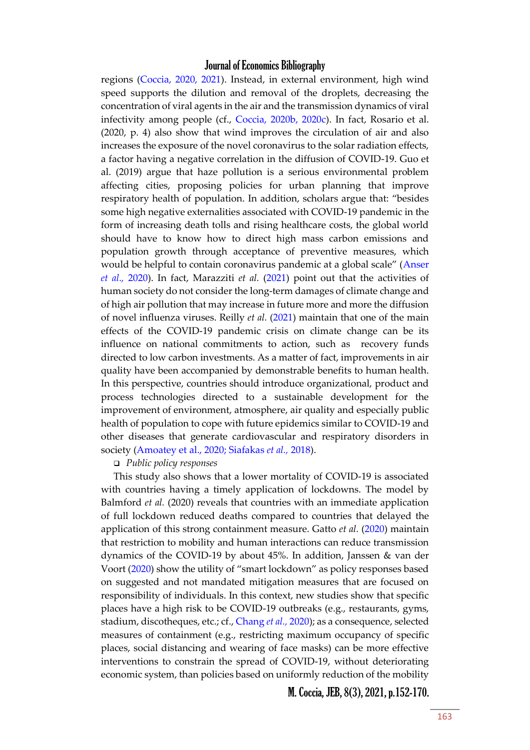regions [\(Coccia, 2020, 2021\)](#page-15-0). Instead, in external environment, high wind speed supports the dilution and removal of the droplets, decreasing the concentration of viral agents in the air and the transmission dynamics of viral infectivity among people (cf., [Coccia, 2020b, 2020c\)](#page-15-0). In fact, Rosario et al. (2020, p. 4) also show that wind improves the circulation of air and also increases the exposure of the novel coronavirus to the solar radiation effects, a factor having a negative correlation in the diffusion of COVID-19. Guo et al. (2019) argue that haze pollution is a serious environmental problem affecting cities, proposing policies for urban planning that improve respiratory health of population. In addition, scholars argue that: "besides some high negative externalities associated with COVID-19 pandemic in the form of increasing death tolls and rising healthcare costs, the global world should have to know how to direct high mass carbon emissions and population growth through acceptance of preventive measures, which would be helpful to contain coronavirus pandemic at a global scale" ([Anser](#page-15-0)  *[et al.,](#page-15-0)* 2020). In fact, Marazziti *et al.* [\(2021\)](#page-15-0) point out that the activities of human society do not consider the long-term damages of climate change and of high air pollution that may increase in future more and more the diffusion of novel influenza viruses. Reilly *et al.* [\(2021\)](#page-15-0) maintain that one of the main effects of the COVID-19 pandemic crisis on climate change can be its influence on national commitments to action, such as recovery funds directed to low carbon investments. As a matter of fact, improvements in air quality have been accompanied by demonstrable benefits to human health. In this perspective, countries should introduce organizational, product and process technologies directed to a sustainable development for the improvement of environment, atmosphere, air quality and especially public health of population to cope with future epidemics similar to COVID-19 and other diseases that generate cardiovascular and respiratory disorders in society [\(Amoatey et al., 2020; Siafakas](#page-15-0) *et al.,* 2018).

#### *Public policy responses*

This study also shows that a lower mortality of COVID-19 is associated with countries having a timely application of lockdowns. The model by Balmford *et al.* (2020) reveals that countries with an immediate application of full lockdown reduced deaths compared to countries that delayed the application of this strong containment measure. Gatto *et al.* [\(2020\)](#page-15-0) maintain that restriction to mobility and human interactions can reduce transmission dynamics of the COVID-19 by about 45%. In addition, Janssen & van der Voort [\(2020](#page-15-0)) show the utility of "smart lockdown" as policy responses based on suggested and not mandated mitigation measures that are focused on responsibility of individuals. In this context, new studies show that specific places have a high risk to be COVID-19 outbreaks (e.g., restaurants, gyms, stadium, discotheques, etc.; cf., [Chang](#page-15-0) *et al.,* 2020); as a consequence, selected measures of containment (e.g., restricting maximum occupancy of specific places, social distancing and wearing of face masks) can be more effective interventions to constrain the spread of COVID-19, without deteriorating economic system, than policies based on uniformly reduction of the mobility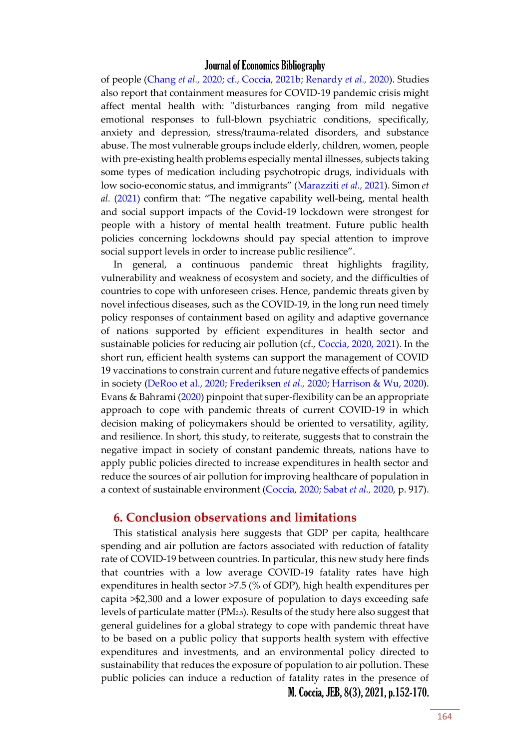of people (Chang *et al.,* [2020; cf., Coccia, 2021b; Renardy](#page-15-0) *et al.,* 2020). Studies also report that containment measures for COVID-19 pandemic crisis might affect mental health with: "disturbances ranging from mild negative emotional responses to full-blown psychiatric conditions, specifically, anxiety and depression, stress/trauma-related disorders, and substance abuse. The most vulnerable groups include elderly, children, women, people with pre-existing health problems especially mental illnesses, subjects taking some types of medication including psychotropic drugs, individuals with low socio-economic status, and immigrants" ([Marazziti](#page-15-0) *et al.,* 2021). Simon *et al.* [\(2021](#page-15-0)) confirm that: "The negative capability well-being, mental health and social support impacts of the Covid-19 lockdown were strongest for people with a history of mental health treatment. Future public health policies concerning lockdowns should pay special attention to improve social support levels in order to increase public resilience".

In general, a continuous pandemic threat highlights fragility, vulnerability and weakness of ecosystem and society, and the difficulties of countries to cope with unforeseen crises. Hence, pandemic threats given by novel infectious diseases, such as the COVID-19, in the long run need timely policy responses of containment based on agility and adaptive governance of nations supported by efficient expenditures in health sector and sustainable policies for reducing air pollution (cf., [Coccia, 2020, 2021\)](#page-15-0). In the short run, efficient health systems can support the management of COVID 19 vaccinations to constrain current and future negative effects of pandemics in society [\(DeRoo et al., 2020; Frederiksen](#page-15-0) *et al.,* 2020; Harrison & Wu, 2020). Evans & Bahrami [\(2020\)](#page-15-0) pinpoint that super-flexibility can be an appropriate approach to cope with pandemic threats of current COVID-19 in which decision making of policymakers should be oriented to versatility, agility, and resilience. In short, this study, to reiterate, suggests that to constrain the negative impact in society of constant pandemic threats, nations have to apply public policies directed to increase expenditures in health sector and reduce the sources of air pollution for improving healthcare of population in a context of sustainable environment [\(Coccia, 2020; Sabat](#page-15-0) *et al.,* 2020, p. 917).

#### **6. Conclusion observations and limitations**

This statistical analysis here suggests that GDP per capita, healthcare spending and air pollution are factors associated with reduction of fatality rate of COVID-19 between countries. In particular, this new study here finds that countries with a low average COVID-19 fatality rates have high expenditures in health sector >7.5 (% of GDP), high health expenditures per capita >\$2,300 and a lower exposure of population to days exceeding safe levels of particulate matter (PM2.5). Results of the study here also suggest that general guidelines for a global strategy to cope with pandemic threat have to be based on a public policy that supports health system with effective expenditures and investments, and an environmental policy directed to sustainability that reduces the exposure of population to air pollution. These public policies can induce a reduction of fatality rates in the presence of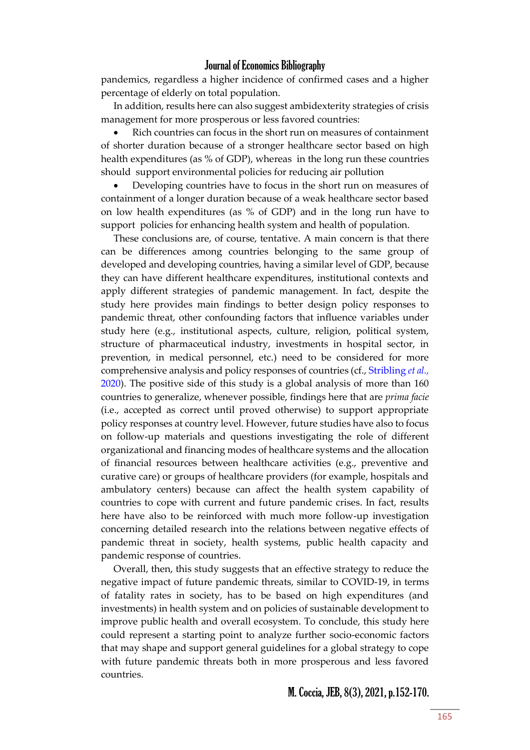pandemics, regardless a higher incidence of confirmed cases and a higher percentage of elderly on total population.

In addition, results here can also suggest ambidexterity strategies of crisis management for more prosperous or less favored countries:

 Rich countries can focus in the short run on measures of containment of shorter duration because of a stronger healthcare sector based on high health expenditures (as % of GDP), whereas in the long run these countries should support environmental policies for reducing air pollution

 Developing countries have to focus in the short run on measures of containment of a longer duration because of a weak healthcare sector based on low health expenditures (as % of GDP) and in the long run have to support policies for enhancing health system and health of population.

These conclusions are, of course, tentative. A main concern is that there can be differences among countries belonging to the same group of developed and developing countries, having a similar level of GDP, because they can have different healthcare expenditures, institutional contexts and apply different strategies of pandemic management. In fact, despite the study here provides main findings to better design policy responses to pandemic threat, other confounding factors that influence variables under study here (e.g., institutional aspects, culture, religion, political system, structure of pharmaceutical industry, investments in hospital sector, in prevention, in medical personnel, etc.) need to be considered for more comprehensive analysis and policy responses of countries (cf., [Stribling](#page-15-0) *et al.,* [2020\)](#page-15-0). The positive side of this study is a global analysis of more than 160 countries to generalize, whenever possible, findings here that are *prima facie* (i.e., accepted as correct until proved otherwise) to support appropriate policy responses at country level. However, future studies have also to focus on follow-up materials and questions investigating the role of different organizational and financing modes of healthcare systems and the allocation of financial resources between healthcare activities (e.g., preventive and curative care) or groups of healthcare providers (for example, hospitals and ambulatory centers) because can affect the health system capability of countries to cope with current and future pandemic crises. In fact, results here have also to be reinforced with much more follow-up investigation concerning detailed research into the relations between negative effects of pandemic threat in society, health systems, public health capacity and pandemic response of countries.

Overall, then, this study suggests that an effective strategy to reduce the negative impact of future pandemic threats, similar to COVID-19, in terms of fatality rates in society, has to be based on high expenditures (and investments) in health system and on policies of sustainable development to improve public health and overall ecosystem. To conclude, this study here could represent a starting point to analyze further socio-economic factors that may shape and support general guidelines for a global strategy to cope with future pandemic threats both in more prosperous and less favored countries.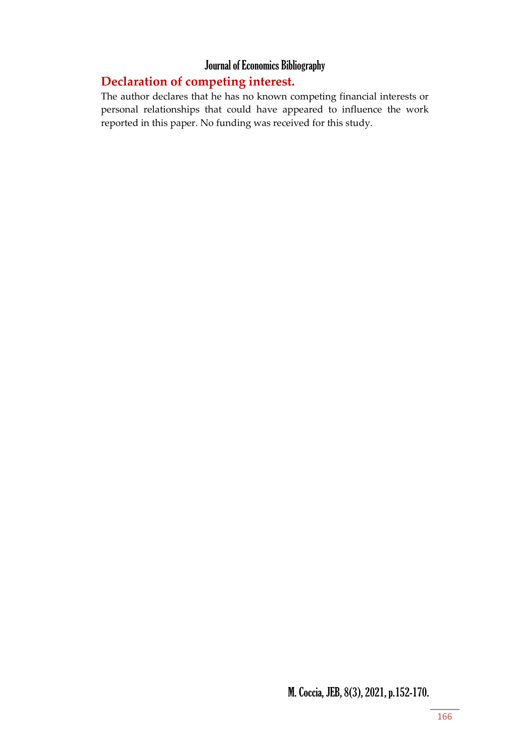## **Declaration of competing interest.**

The author declares that he has no known competing financial interests or personal relationships that could have appeared to influence the work reported in this paper. No funding was received for this study.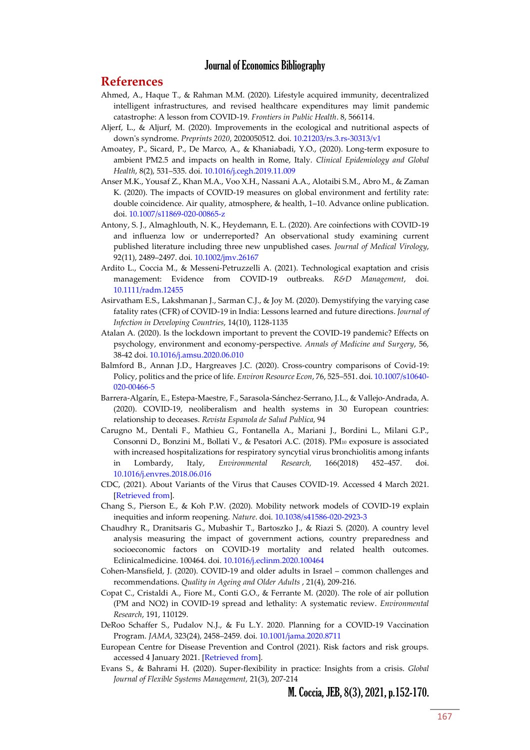#### **References**

- <span id="page-15-0"></span>Ahmed, A., Haque T., & Rahman M.M. (2020). Lifestyle acquired immunity, decentralized intelligent infrastructures, and revised healthcare expenditures may limit pandemic catastrophe: A lesson from COVID-19. *[Frontiers in Public Health](https://www.scopus.com/sourceid/21100798718?origin=resultslist)*. 8, 566114.
- Aljerf, L., & Aljurf, M. (2020). Improvements in the ecological and nutritional aspects of down's syndrome. *Preprints 2020*, 2020050512. doi. [10.21203/rs.3.rs-30313/v1](https://doi.org/10.21203/rs.3.rs-30313/v1)
- Amoatey, P., Sicard, P., De Marco, A., & Khaniabadi, Y.O., (2020). Long-term exposure to ambient PM2.5 and impacts on health in Rome, Italy. *Clinical Epidemiology and Global Health*, 8(2), 531–535. doi[. 10.1016/j.cegh.2019.11.009](https://doi.org/10.1016/j.cegh.2019.11.009)
- Anser M.K., Yousaf Z., Khan M.A., Voo X.H., Nassani A.A., Alotaibi S.M., Abro M., & Zaman K. (2020). The impacts of COVID-19 measures on global environment and fertility rate: double coincidence. Air quality, atmosphere, & health, 1–10. Advance online publication. doi. [10.1007/s11869-020-00865-z](https://doi.org/10.1007/s11869-020-00865-z)
- Antony, S. J., Almaghlouth, N. K., Heydemann, E. L. (2020). Are coinfections with COVID-19 and influenza low or underreported? An observational study examining current published literature including three new unpublished cases. *Journal of Medical Virology*, 92(11), 2489–2497. doi[. 10.1002/jmv.26167](https://doi.org/10.1002/jmv.26167)
- Ardito L., Coccia M., & Messeni-Petruzzelli A. (2021). Technological exaptation and crisis management: Evidence from COVID-19 outbreaks. *R&D Management*, doi. [10.1111/radm.12455](https://doi.org/10.1111/radm.12455)
- [Asirvatham E.S.,](https://www.scopus.com/authid/detail.uri?origin=resultslist&authorId=57214220320&zone=) [Lakshmanan J.,](https://www.scopus.com/authid/detail.uri?origin=resultslist&authorId=7007126400&zone=) [Sarman C.J.,](https://www.scopus.com/authid/detail.uri?origin=resultslist&authorId=57219311704&zone=) & [Joy M.](https://www.scopus.com/authid/detail.uri?origin=resultslist&authorId=57217484956&zone=) (2020)[. Demystifying the varying case](https://www.scopus.com/record/display.uri?eid=2-s2.0-85096082032&origin=resultslist&sort=plf-f&src=s&st1=%22health+expenditure%22+AND+COVID-19&nlo=&nlr=&nls=&sid=d9c3c546ff5bb1e28c2e7f2e4f32e8dc&sot=b&sdt=b&sl=48&s=TITLE-ABS-KEY%28%22health+expenditure%22+AND+COVID-19%29&relpos=20&citeCnt=0&searchTerm=)  [fatality rates \(CFR\) of COVID-19 in India: Lessons learned and future directions.](https://www.scopus.com/record/display.uri?eid=2-s2.0-85096082032&origin=resultslist&sort=plf-f&src=s&st1=%22health+expenditure%22+AND+COVID-19&nlo=&nlr=&nls=&sid=d9c3c546ff5bb1e28c2e7f2e4f32e8dc&sot=b&sdt=b&sl=48&s=TITLE-ABS-KEY%28%22health+expenditure%22+AND+COVID-19%29&relpos=20&citeCnt=0&searchTerm=) *[Journal of](https://www.scopus.com/sourceid/17700155407?origin=resultslist)  [Infection in Developing Countries](https://www.scopus.com/sourceid/17700155407?origin=resultslist)*, 14(10), 1128-1135
- Atalan A. (2020). Is the lockdown important to prevent the COVID-19 pandemic? Effects on psychology, environment and economy-perspective. *Annals of Medicine and Surgery*, 56, 38-42 doi[. 10.1016/j.amsu.2020.06.010](https://doi.org/10.1016/j.amsu.2020.06.010)
- Balmford B., Annan J.D., Hargreaves J.C. (2020). Cross-country comparisons of Covid-19: Policy, politics and the price of life. *Environ Resource Econ*, 76, 525–551[. doi. 10.1007/s10640-](https://doi.org/10.1007/s10640-020-00466-5) [020-00466-5](https://doi.org/10.1007/s10640-020-00466-5)
- Barrera-[Algarín, E.](https://www.scopus.com/authid/detail.uri?origin=resultslist&authorId=57194871724&zone=)[, Estepa-Maestre, F.,](https://www.scopus.com/authid/detail.uri?origin=resultslist&authorId=57202336323&zone=) Sarasola-Sánchez[-Serrano, J.L.,](https://www.scopus.com/authid/detail.uri?origin=resultslist&authorId=57195588439&zone=) [& Vallejo-Andrada, A.](https://www.scopus.com/authid/detail.uri?origin=resultslist&authorId=57195594028&zone=) (2020). COVID-19, neoliberalism and health systems in 30 European countries: relationship to deceases. *[Revista Espanola de Salud Publica](https://www.scopus.com/sourceid/22599?origin=resultslist)*, 94
- Carugno M., Dentali F., Mathieu G., Fontanella A., Mariani J., Bordini L., Milani G.P., Consonni D., Bonzini M., Bollati V., & Pesatori A.C. (2018). PM<sup>10</sup> exposure is associated with increased hospitalizations for respiratory syncytial virus bronchiolitis among infants in Lombardy, Italy, *Environmental Research,* 166(2018) 452–457. doi. [10.1016/j.envres.2018.06.016](https://doi.org/10.1016/j.envres.2018.06.016)
- CDC, (2021). About Variants of the Virus that Causes COVID-19. Accessed 4 March 2021. [\[Retrieved from\]](https://www.cdc.gov/coronavirus/2019-ncov/transmission/variant.html).
- Chang S., Pierson E., & Koh P.W. (2020). Mobility network models of COVID-19 explain inequities and inform reopening. *Nature*. doi. [10.1038/s41586-020-2923-3](https://doi.org/10.1038/s41586-020-2923-3)
- Chaudhry R., Dranitsaris G., Mubashir T., Bartoszko J., & Riazi S. (2020). A country level analysis measuring the impact of government actions, country preparedness and socioeconomic factors on COVID-19 mortality and related health outcomes. Eclinicalmedicine. 100464. doi. [10.1016/j.eclinm.2020.100464](https://doi.org/10.1016/j.eclinm.2020.100464)
- [Cohen-Mansfield, J.](https://www.scopus.com/authid/detail.uri?origin=resultslist&authorId=7005033039&zone=) (2020). [COVID-19 and older adults in Israel](https://www.scopus.com/record/display.uri?eid=2-s2.0-85096543948&origin=resultslist&sort=plf-f&src=s&st1=%22old+population%22+AND+COVID&st2=&sid=d9c3c546ff5bb1e28c2e7f2e4f32e8dc&sot=b&sdt=b&sl=41&s=TITLE-ABS-KEY%28%22old+population%22+AND+COVID%29&relpos=9&citeCnt=0&searchTerm=)  common challenges and [recommendations.](https://www.scopus.com/record/display.uri?eid=2-s2.0-85096543948&origin=resultslist&sort=plf-f&src=s&st1=%22old+population%22+AND+COVID&st2=&sid=d9c3c546ff5bb1e28c2e7f2e4f32e8dc&sot=b&sdt=b&sl=41&s=TITLE-ABS-KEY%28%22old+population%22+AND+COVID%29&relpos=9&citeCnt=0&searchTerm=) *[Quality in Ageing and Older Adults](https://www.scopus.com/sourceid/19700170191?origin=resultslist)* , 21(4), 209-216.
- [Copat C.,](https://www.scopus.com/authid/detail.uri?origin=resultslist&authorId=26027461200&zone=) [Cristaldi A.,](https://www.scopus.com/authid/detail.uri?origin=resultslist&authorId=57188586874&zone=) [Fiore M.,](https://www.scopus.com/authid/detail.uri?origin=resultslist&authorId=57217062552&zone=) [Conti G.O.,](https://www.scopus.com/authid/detail.uri?origin=resultslist&authorId=24332549000&zone=) & [Ferrante M.](https://www.scopus.com/authid/detail.uri?origin=resultslist&authorId=57143880700&zone=) (2020). [The role of air pollution](https://www.scopus.com/record/display.uri?eid=2-s2.0-85089891473&origin=resultslist&sort=plf-f&src=s&st1=%22firms%22++AND++covid++&nlo=&nlr=&nls=&sid=3da566b1daed37bd79dbe558ef5f874a&sot=b&sdt=b&sl=36&s=TITLE-ABS-KEY%28%22firms%22++AND++covid++%29&relpos=34&citeCnt=14&searchTerm=)  [\(PM and NO2\) in COVID-19 spread and lethality: A systematic review.](https://www.scopus.com/record/display.uri?eid=2-s2.0-85089891473&origin=resultslist&sort=plf-f&src=s&st1=%22firms%22++AND++covid++&nlo=&nlr=&nls=&sid=3da566b1daed37bd79dbe558ef5f874a&sot=b&sdt=b&sl=36&s=TITLE-ABS-KEY%28%22firms%22++AND++covid++%29&relpos=34&citeCnt=14&searchTerm=) *[Environmental](https://www.scopus.com/sourceid/21524?origin=resultslist)  [Research](https://www.scopus.com/sourceid/21524?origin=resultslist)*, 191, 110129.
- DeRoo Schaffer S., Pudalov N.J., & Fu L.Y. 2020. Planning for a COVID-19 Vaccination Program. *JAMA*, 323(24), 2458–2459. doi[. 10.1001/jama.2020.8711](https://doi.org/10.1001/jama.2020.8711)
- European Centre for Disease Prevention and Control (2021). Risk factors and risk groups. accessed 4 January 2021. [\[Retrieved from\]](https://www.ecdc.europa.eu/en/covid-19/latest-evidence/epidemiology).
- [Evans S., &](https://biblioproxy.cnr.it:2301/authid/detail.uri?authorId=55214882800&eid=2-s2.0-85087514960) Bahrami H. (2020). Super-flexibility in practice: Insights from a crisis. *[Global](https://biblioproxy.cnr.it:2301/sourceid/8300153135?origin=recordpage)  [Journal of Flexible Systems Management,](https://biblioproxy.cnr.it:2301/sourceid/8300153135?origin=recordpage)* 21(3), 207-214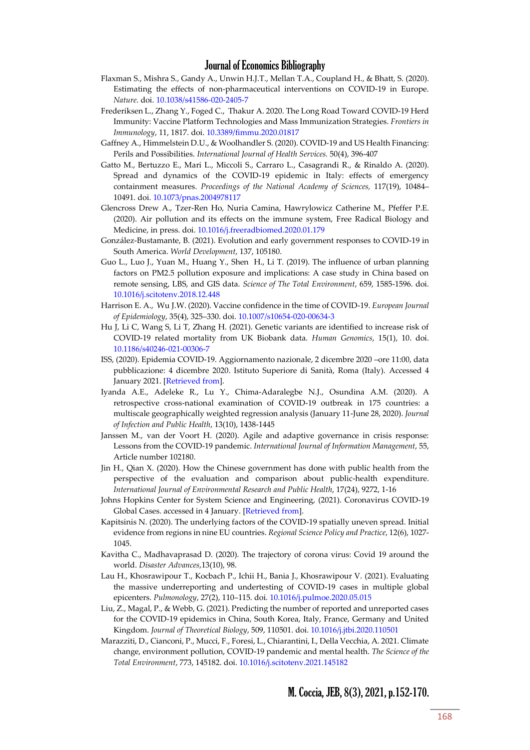- Flaxman S., Mishra S., Gandy A., Unwin H.J.T., Mellan T.A., Coupland H., & Bhatt, S. (2020). Estimating the effects of non-pharmaceutical interventions on COVID-19 in Europe. *Nature*. doi. [10.1038/s41586-020-2405-7](https://doi.org/10.1038/s41586-020-2405-7)
- Frederiksen L., Zhang Y., Foged C., Thakur A. 2020. The Long Road Toward COVID-19 Herd Immunity: Vaccine Platform Technologies and Mass Immunization Strategies. *Frontiers in Immunology*, 11, 1817. doi. [10.3389/fimmu.2020.01817](https://doi.org/10.3389/fimmu.2020.01817)
- [Gaffney A.,](https://www.scopus.com/authid/detail.uri?origin=resultslist&authorId=56662869300&zone=) [Himmelstein D.U.,](https://www.scopus.com/authid/detail.uri?origin=resultslist&authorId=57190008493&zone=) [& Woolhandler S.](https://www.scopus.com/authid/detail.uri?origin=resultslist&authorId=7006159099&zone=) (2020). COVID-19 and US Health Financing: Perils and Possibilities. *International Journal of Health Services.* 50(4), 396-407
- Gatto M., Bertuzzo E., Mari L., Miccoli S., Carraro L., Casagrandi R., & Rinaldo A. (2020). Spread and dynamics of the COVID-19 epidemic in Italy: effects of emergency containment measures. *Proceedings of the National Academy of Sciences,* 117(19), 10484– 10491. doi. [10.1073/pnas.2004978117](https://doi.org/10.1073/pnas.2004978117)
- Glencross Drew A., Tzer-Ren Ho, Nuria Camina, Hawrylowicz Catherine M., Pfeffer P.E. (2020). Air pollution and its effects on the immune system, Free Radical Biology and Medicine, in press. doi. [10.1016/j.freeradbiomed.2020.01.179](https://doi.org/10.1016/j.freeradbiomed.2020.01.179)
- González[-Bustamante, B.](https://www.scopus.com/authid/detail.uri?origin=resultslist&authorId=57131115600&zone=) (2021)[. Evolution and early government responses to COVID-19 in](https://www.scopus.com/record/display.uri?eid=2-s2.0-85090410744&origin=resultslist&sort=plf-f&src=s&st1=%22health+expenditure%22+AND+COVID-19&st2=&sid=d9c3c546ff5bb1e28c2e7f2e4f32e8dc&sot=b&sdt=b&sl=48&s=TITLE-ABS-KEY%28%22health+expenditure%22+AND+COVID-19%29&relpos=0&citeCnt=0&searchTerm=)  [South America.](https://www.scopus.com/record/display.uri?eid=2-s2.0-85090410744&origin=resultslist&sort=plf-f&src=s&st1=%22health+expenditure%22+AND+COVID-19&st2=&sid=d9c3c546ff5bb1e28c2e7f2e4f32e8dc&sot=b&sdt=b&sl=48&s=TITLE-ABS-KEY%28%22health+expenditure%22+AND+COVID-19%29&relpos=0&citeCnt=0&searchTerm=) *World Development*, 137, 105180.
- [Guo L., Luo](https://www.sciencedirect.com/science/article/pii/S0048969718353440#!) J., Yuan M., [Huang Y](https://www.sciencedirect.com/science/article/pii/S0048969718353440#!)., [Shen](https://www.sciencedirect.com/science/article/pii/S0048969718353440#!) H., [Li](https://www.sciencedirect.com/science/article/pii/S0048969718353440#!) T. (2019). The influence of urban planning factors on PM2.5 pollution exposure and implications: A case study in China based on remote sensing, LBS, and GIS data. *[Science of The Total Environment](https://www.sciencedirect.com/science/journal/00489697)*, [659,](https://www.sciencedirect.com/science/journal/00489697/659/supp/C) 1585-1596. doi. [10.1016/j.scitotenv.2018.12.448](https://doi.org/10.1016/j.scitotenv.2018.12.448)
- Harrison E. A., Wu J.W. (2020). Vaccine confidence in the time of COVID-19. *European Journal of Epidemiology*, 35(4), 325–330. doi. [10.1007/s10654-020-00634-3](https://doi.org/10.1007/s10654-020-00634-3)
- Hu J, Li C, Wang S, Li T, Zhang H. (2021). Genetic variants are identified to increase risk of COVID-19 related mortality from UK Biobank data. *Human Genomics*, 15(1), 10. doi. [10.1186/s40246-021-00306-7](https://doi.org/10.1186/s40246-021-00306-7)
- ISS, (2020). Epidemia COVID-19. Aggiornamento nazionale, 2 dicembre 2020 –ore 11:00, data pubblicazione: 4 dicembre 2020. Istituto Superiore di Sanità, Roma (Italy). Accessed 4 January 2021. [\[Retrieved from\]](https://www.epicentro.iss.it/coronavirus/bollettino/Bollettino-sorveglianza-integrata-COVID-19_2-dicembre-2020.pdf).
- [Iyanda A.E.,](https://www.scopus.com/authid/detail.uri?origin=resultslist&authorId=57202265134&zone=) [Adeleke R.,](https://www.scopus.com/authid/detail.uri?origin=resultslist&authorId=57216858512&zone=) [Lu Y.,](https://www.scopus.com/authid/detail.uri?origin=resultslist&authorId=55868296300&zone=) [Chima-Adaralegbe N.J.,](https://www.scopus.com/authid/detail.uri?origin=resultslist&authorId=57218419414&zone=) [Osundina A.M.](https://www.scopus.com/authid/detail.uri?origin=resultslist&authorId=57218420129&zone=) (2020). [A](https://www.scopus.com/record/display.uri?eid=2-s2.0-85089139312&origin=resultslist&sort=plf-f&src=s&st1=%22health+expenditure%22+AND+COVID-19&st2=&sid=d9c3c546ff5bb1e28c2e7f2e4f32e8dc&sot=b&sdt=b&sl=48&s=TITLE-ABS-KEY%28%22health+expenditure%22+AND+COVID-19%29&relpos=16&citeCnt=1&searchTerm=)  [retrospective cross-national examination of COVID-19 outbreak in 175 countries: a](https://www.scopus.com/record/display.uri?eid=2-s2.0-85089139312&origin=resultslist&sort=plf-f&src=s&st1=%22health+expenditure%22+AND+COVID-19&st2=&sid=d9c3c546ff5bb1e28c2e7f2e4f32e8dc&sot=b&sdt=b&sl=48&s=TITLE-ABS-KEY%28%22health+expenditure%22+AND+COVID-19%29&relpos=16&citeCnt=1&searchTerm=)  [multiscale geographically weighted regression analysis \(January 11-June 28, 2020\).](https://www.scopus.com/record/display.uri?eid=2-s2.0-85089139312&origin=resultslist&sort=plf-f&src=s&st1=%22health+expenditure%22+AND+COVID-19&st2=&sid=d9c3c546ff5bb1e28c2e7f2e4f32e8dc&sot=b&sdt=b&sl=48&s=TITLE-ABS-KEY%28%22health+expenditure%22+AND+COVID-19%29&relpos=16&citeCnt=1&searchTerm=) *[Journal](https://www.scopus.com/sourceid/16800154711?origin=resultslist)  [of Infection and Public Health](https://www.scopus.com/sourceid/16800154711?origin=resultslist)*, 13(10), 1438-1445
- [Janssen M.,](https://biblioproxy.cnr.it:2301/authid/detail.uri?authorId=16199813000&eid=2-s2.0-85086838104) [van der Voort H.](https://biblioproxy.cnr.it:2301/authid/detail.uri?authorId=7003539458&eid=2-s2.0-85086838104) (2020). Agile and adaptive governance in crisis response: Lessons from the COVID-19 pandemic. *International Journal of [Information Management](https://biblioproxy.cnr.it:2301/sourceid/15631?origin=recordpage)*, 55, Article number 102180.
- [Jin H.,](https://www.scopus.com/authid/detail.uri?origin=resultslist&authorId=57216769017&zone=) Qian X. (2020). How the Chinese government has done with public health from the perspective of the evaluation and comparison about public-health expenditure. *[International Journal of Environmental Research and Public Health](https://www.scopus.com/sourceid/144989?origin=resultslist)*, 17(24), 9272, 1-16
- Johns Hopkins Center for System Science and Engineering, (2021). Coronavirus COVID-19 Global Cases. accessed in 4 January. [\[Retrieved from\]](https://gisanddata.maps.arcgis.com/apps/opsdashboard/index.html#/bda7594740fd40299423467b48e9ecf6).
- [Kapitsinis N.](https://www.scopus.com/authid/detail.uri?origin=resultslist&authorId=55893246200&zone=) (2020)[. The underlying factors of the COVID-19 spatially uneven spread. Initial](https://www.scopus.com/record/display.uri?eid=2-s2.0-85091303979&origin=resultslist&sort=plf-f&src=s&st1=%22health+expenditure%22+AND+COVID-19&st2=&sid=d9c3c546ff5bb1e28c2e7f2e4f32e8dc&sot=b&sdt=b&sl=48&s=TITLE-ABS-KEY%28%22health+expenditure%22+AND+COVID-19%29&relpos=3&citeCnt=1&searchTerm=)  [evidence from regions in nine EU countries.](https://www.scopus.com/record/display.uri?eid=2-s2.0-85091303979&origin=resultslist&sort=plf-f&src=s&st1=%22health+expenditure%22+AND+COVID-19&st2=&sid=d9c3c546ff5bb1e28c2e7f2e4f32e8dc&sot=b&sdt=b&sl=48&s=TITLE-ABS-KEY%28%22health+expenditure%22+AND+COVID-19%29&relpos=3&citeCnt=1&searchTerm=) *Regional Science Policy and Practice*, 12(6), 1027- 1045.
- [Kavitha C.,](https://www.scopus.com/authid/detail.uri?origin=resultslist&authorId=57211606970&zone=) [Madhavaprasad D.](https://www.scopus.com/authid/detail.uri?origin=resultslist&authorId=57219160028&zone=) (2020). [The trajectory of corona virus: Covid 19 around the](https://www.scopus.com/record/display.uri?eid=2-s2.0-85091491048&origin=resultslist&sort=plf-f&src=s&st1=%22health+expenditure%22+AND+COVID-19&st2=&sid=d9c3c546ff5bb1e28c2e7f2e4f32e8dc&sot=b&sdt=b&sl=48&s=TITLE-ABS-KEY%28%22health+expenditure%22+AND+COVID-19%29&relpos=18&citeCnt=0&searchTerm=)  [world.](https://www.scopus.com/record/display.uri?eid=2-s2.0-85091491048&origin=resultslist&sort=plf-f&src=s&st1=%22health+expenditure%22+AND+COVID-19&st2=&sid=d9c3c546ff5bb1e28c2e7f2e4f32e8dc&sot=b&sdt=b&sl=48&s=TITLE-ABS-KEY%28%22health+expenditure%22+AND+COVID-19%29&relpos=18&citeCnt=0&searchTerm=) *[Disaster Advances](https://www.scopus.com/sourceid/19700175287?origin=resultslist)*,13(10), 98.
- Lau H., Khosrawipour T., Kocbach P., Ichii H., Bania J., Khosrawipour V. (2021). Evaluating the massive underreporting and undertesting of COVID-19 cases in multiple global epicenters. *Pulmonology*, 27(2), 110–115. doi. [10.1016/j.pulmoe.2020.05.015](https://doi.org/10.1016/j.pulmoe.2020.05.015)
- Liu, Z., Magal, P., & Webb, G. (2021). Predicting the number of reported and unreported cases for the COVID-19 epidemics in China, South Korea, Italy, France, Germany and United Kingdom. *Journal of Theoretical Biology*, 509, 110501. doi. [10.1016/j.jtbi.2020.110501](https://doi.org/10.1016/j.jtbi.2020.110501)
- Marazziti, D., Cianconi, P., Mucci, F., Foresi, L., Chiarantini, I., Della Vecchia, A. 2021. Climate change, environment pollution, COVID-19 pandemic and mental health. *The Science of the Total Environment*, 773, 145182. doi. [10.1016/j.scitotenv.2021.145182](https://doi.org/10.1016/j.scitotenv.2021.145182)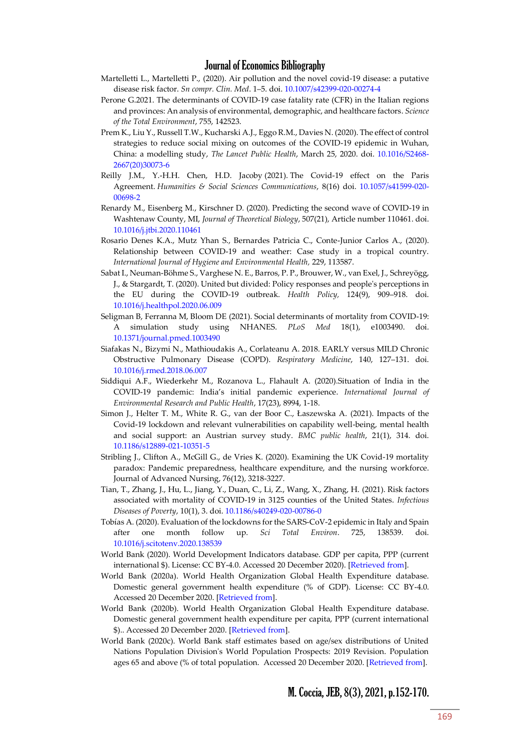- Martelletti L., Martelletti P., (2020). Air pollution and the novel covid-19 disease: a putative disease risk factor. *Sn compr. Clin. Med*. 1–5. doi. [10.1007/s42399-020-00274-4](https://doi.org/10.1007/s42399-020-00274-4)
- [Perone G.2](https://www.scopus.com/authid/detail.uri?origin=resultslist&authorId=57211633727&zone=)021. [The determinants of COVID-19 case fatality rate \(CFR\) in the Italian regions](https://www.scopus.com/record/display.uri?eid=2-s2.0-85091930728&origin=resultslist&sort=plf-f&src=s&st1=%22firms%22+AND+COVID&st2=&sid=760916bf7ef2d57b0f9fd1801849be74&sot=b&sdt=b&sl=32&s=TITLE-ABS-KEY%28%22firms%22+AND+COVID%29&relpos=8&citeCnt=1&searchTerm=)  [and provinces: An analysis of environmental, demographic, and healthcare factors.](https://www.scopus.com/record/display.uri?eid=2-s2.0-85091930728&origin=resultslist&sort=plf-f&src=s&st1=%22firms%22+AND+COVID&st2=&sid=760916bf7ef2d57b0f9fd1801849be74&sot=b&sdt=b&sl=32&s=TITLE-ABS-KEY%28%22firms%22+AND+COVID%29&relpos=8&citeCnt=1&searchTerm=) *[Science](https://www.scopus.com/sourceid/25349?origin=resultslist)  [of the Total Environment](https://www.scopus.com/sourceid/25349?origin=resultslist)*, 755, 142523.
- Prem K., Liu Y., Russell T.W., Kucharski A.J., Eggo R.M., Davies N. (2020)[. The effect of control](https://www.thelancet.com/journals/lanpub/article/PIIS2468-2667(20)30073-6/fulltext)  [strategies to reduce social mixing on outcomes of the COVID-19 epidemic in Wuhan,](https://www.thelancet.com/journals/lanpub/article/PIIS2468-2667(20)30073-6/fulltext)  [China: a modelling study,](https://www.thelancet.com/journals/lanpub/article/PIIS2468-2667(20)30073-6/fulltext) *The Lancet Public Health*, March 25, 2020. doi. [10.1016/S2468-](https://doi.org/10.1016/S2468-2667(20)30073-6) [2667\(20\)30073-6](https://doi.org/10.1016/S2468-2667(20)30073-6)
- Reilly J.M., Y.-H.H. Chen, H.D. Jacoby (2021). The Covid-19 effect on the Paris Agreement. *Humanities & Social Sciences Communications*, 8(16) doi. [10.1057/s41599-020-](https://doi.org/10.1057/s41599-020-00698-2) [00698-2](https://doi.org/10.1057/s41599-020-00698-2)
- [Renardy M.,](https://www.scopus.com/authid/detail.uri?authorId=57201006568&eid=2-s2.0-85090421838) [Eisenberg M.,](https://www.scopus.com/authid/detail.uri?authorId=15762032100&eid=2-s2.0-85090421838) Kirschner D. (2020). Predicting the second wave of COVID-19 in Washtenaw County, MI, *[Journal of Theoretical Biology](https://www.scopus.com/sourceid/29663?origin=recordpage)*, 507(21), Article number 110461. doi. [10.1016/j.jtbi.2020.110461](https://doi.org/10.1016/j.jtbi.2020.110461)
- Rosario Denes K.A., Mutz Yhan S., Bernardes Patricia C., Conte-Junior Carlos A., (2020). Relationship between COVID-19 and weather: Case study in a tropical country. *International Journal of Hygiene and Environmental Health,* 229, 113587.
- Sabat I., Neuman-Böhme S., Varghese N. E., Barros, P. P., Brouwer, W., van Exel, J., Schreyögg, J., & Stargardt, T. (2020). United but divided: Policy responses and people's perceptions in the EU during the COVID-19 outbreak. *Health Policy,* 124(9), 909–918. doi. [10.1016/j.healthpol.2020.06.009](https://doi.org/10.1016/j.healthpol.2020.06.009)
- Seligman B, Ferranna M, Bloom DE (2021). Social determinants of mortality from COVID-19: A simulation study using NHANES. *PLoS Med* 18(1), e1003490. doi. [10.1371/journal.pmed.1003490](https://doi.org/10.1371/journal.pmed.1003490)
- Siafakas N., Bizymi N., Mathioudakis A., Corlateanu A. 2018. EARLY versus MILD Chronic Obstructive Pulmonary Disease (COPD). *Respiratory Medicine*, 140, 127–131. doi. [10.1016/j.rmed.2018.06.007](https://doi.org/10.1016/j.rmed.2018.06.007)
- [Siddiqui A.F.,](https://www.scopus.com/authid/detail.uri?origin=resultslist&authorId=57220128515&zone=) [Wiederkehr M.,](https://www.scopus.com/authid/detail.uri?origin=resultslist&authorId=57220129560&zone=) [Rozanova L.,](https://www.scopus.com/authid/detail.uri?origin=resultslist&authorId=57220105933&zone=) [Flahault A.](https://www.scopus.com/authid/detail.uri?origin=resultslist&authorId=55382983400&zone=) (2020[\).Situation of India in the](https://www.scopus.com/record/display.uri?eid=2-s2.0-85097020685&origin=resultslist&sort=plf-f&src=s&st1=%22health+expenditure%22+AND+COVID-19&st2=&sid=d9c3c546ff5bb1e28c2e7f2e4f32e8dc&sot=b&sdt=b&sl=48&s=TITLE-ABS-KEY%28%22health+expenditure%22+AND+COVID-19%29&relpos=4&citeCnt=0&searchTerm=)  COVID-[19 pandemic: India's initial pandemic experience](https://www.scopus.com/record/display.uri?eid=2-s2.0-85097020685&origin=resultslist&sort=plf-f&src=s&st1=%22health+expenditure%22+AND+COVID-19&st2=&sid=d9c3c546ff5bb1e28c2e7f2e4f32e8dc&sot=b&sdt=b&sl=48&s=TITLE-ABS-KEY%28%22health+expenditure%22+AND+COVID-19%29&relpos=4&citeCnt=0&searchTerm=). *[International Journal of](https://www.scopus.com/sourceid/144989?origin=resultslist)  [Environmental Research and Public Health](https://www.scopus.com/sourceid/144989?origin=resultslist)*, 17(23), 8994, 1-18.
- Simon J., Helter T. M., White R. G., van der Boor C., Łaszewska A. (2021). Impacts of the Covid-19 lockdown and relevant vulnerabilities on capability well-being, mental health and social support: an Austrian survey study. *BMC public health*, 21(1), 314. doi. [10.1186/s12889-021-10351-5](https://doi.org/10.1186/s12889-021-10351-5)
- [Stribling J.,](https://www.scopus.com/authid/detail.uri?origin=resultslist&authorId=57219338371&zone=) [Clifton A.,](https://www.scopus.com/authid/detail.uri?origin=resultslist&authorId=35848244700&zone=) [McGill G.,](https://www.scopus.com/authid/detail.uri?origin=resultslist&authorId=57209601044&zone=) [de Vries K.](https://www.scopus.com/authid/detail.uri?origin=resultslist&authorId=14021326900&zone=) (2020). Examining the UK Covid-19 mortality paradox: Pandemic preparedness, healthcare expenditure, and the nursing workforce. [Journal of Advanced Nursing,](https://www.scopus.com/sourceid/28186?origin=resultslist) 76(12), 3218-3227.
- Tian, T., Zhang, J., Hu, L., Jiang, Y., Duan, C., Li, Z., Wang, X., Zhang, H. (2021). Risk factors associated with mortality of COVID-19 in 3125 counties of the United States. *Infectious Diseases of Poverty*, 10(1), 3. doi. [10.1186/s40249-020-00786-0](https://doi.org/10.1186/s40249-020-00786-0)
- Tobías A. (2020). Evaluation of the lockdowns for the SARS-CoV-2 epidemic in Italy and Spain after one month follow up. *Sci Total Environ*. 725, 138539. doi. [10.1016/j.scitotenv.2020.138539](https://doi.org/10.1016/j.scitotenv.2020.138539)
- World Bank (2020). World Development Indicators database. GDP per capita, PPP (current international \$). License: CC BY-4.0. Accessed 20 December 2020). [\[Retrieved from\]](https://data.worldbank.org/indicator/NY.GDP.PCAP.PP.CD).
- World Bank (2020a). World Health Organization Global Health Expenditure database. Domestic general government health expenditure (% of GDP). License: CC BY-4.0. Accessed 20 December 2020. [\[Retrieved from\]](https://data.worldbank.org/indicator/SH.XPD.CHEX.GD.ZS).
- World Bank (2020b). World Health Organization Global Health Expenditure database. Domestic general government health expenditure per capita, PPP (current international \$).. Accessed 20 December 2020. [\[Retrieved from\]](https://data.worldbank.org/indicator/SH.XPD.GHED.PP.CD).
- World Bank (2020c). World Bank staff estimates based on age/sex distributions of United Nations Population Division's World Population Prospects: 2019 Revision. Population ages 65 and above (% of total population. Accessed 20 December 2020. [\[Retrieved from\]](https://data.worldbank.org/indicator/SP.POP.65UP.TO.ZS).